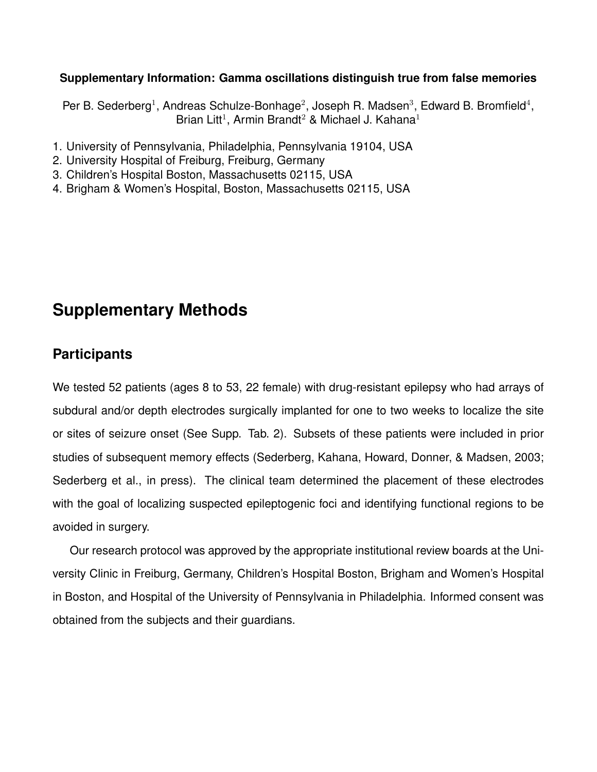### **Supplementary Information: Gamma oscillations distinguish true from false memories**

Per B. Sederberg<sup>1</sup>, Andreas Schulze-Bonhage<sup>2</sup>, Joseph R. Madsen<sup>3</sup>, Edward B. Bromfield<sup>4</sup>, Brian Litt<sup>1</sup>, Armin Brandt<sup>2</sup> & Michael J. Kahana<sup>1</sup>

- 1. University of Pennsylvania, Philadelphia, Pennsylvania 19104, USA
- 2. University Hospital of Freiburg, Freiburg, Germany
- 3. Children's Hospital Boston, Massachusetts 02115, USA
- 4. Brigham & Women's Hospital, Boston, Massachusetts 02115, USA

# **Supplementary Methods**

## **Participants**

We tested 52 patients (ages 8 to 53, 22 female) with drug-resistant epilepsy who had arrays of subdural and/or depth electrodes surgically implanted for one to two weeks to localize the site or sites of seizure onset (See Supp. Tab. 2). Subsets of these patients were included in prior studies of subsequent memory effects (Sederberg, Kahana, Howard, Donner, & Madsen, 2003; Sederberg et al., in press). The clinical team determined the placement of these electrodes with the goal of localizing suspected epileptogenic foci and identifying functional regions to be avoided in surgery.

Our research protocol was approved by the appropriate institutional review boards at the University Clinic in Freiburg, Germany, Children's Hospital Boston, Brigham and Women's Hospital in Boston, and Hospital of the University of Pennsylvania in Philadelphia. Informed consent was obtained from the subjects and their guardians.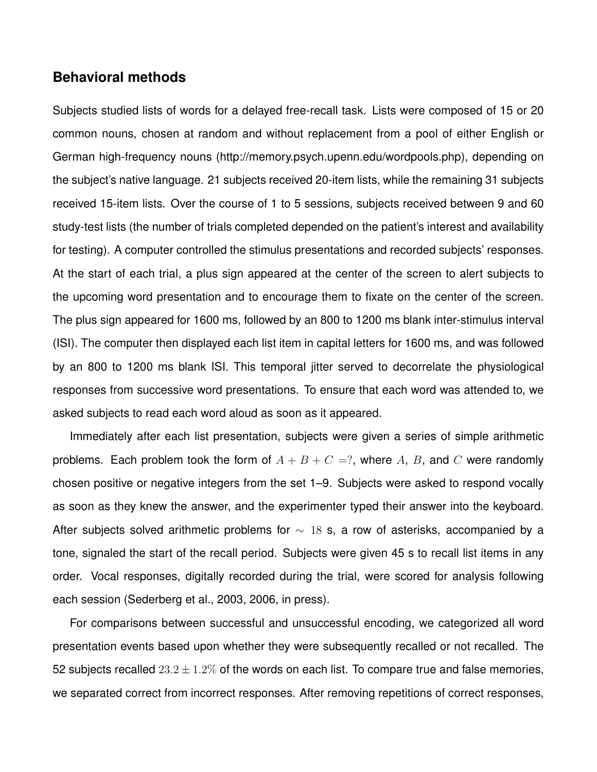### **Behavioral methods**

Subjects studied lists of words for a delayed free-recall task. Lists were composed of 15 or 20 common nouns, chosen at random and without replacement from a pool of either English or German high-frequency nouns (http://memory.psych.upenn.edu/wordpools.php), depending on the subject's native language. 21 subjects received 20-item lists, while the remaining 31 subjects received 15-item lists. Over the course of 1 to 5 sessions, subjects received between 9 and 60 study-test lists (the number of trials completed depended on the patient's interest and availability for testing). A computer controlled the stimulus presentations and recorded subjects' responses. At the start of each trial, a plus sign appeared at the center of the screen to alert subjects to the upcoming word presentation and to encourage them to fixate on the center of the screen. The plus sign appeared for 1600 ms, followed by an 800 to 1200 ms blank inter-stimulus interval (ISI). The computer then displayed each list item in capital letters for 1600 ms, and was followed by an 800 to 1200 ms blank ISI. This temporal jitter served to decorrelate the physiological responses from successive word presentations. To ensure that each word was attended to, we asked subjects to read each word aloud as soon as it appeared.

Immediately after each list presentation, subjects were given a series of simple arithmetic problems. Each problem took the form of  $A + B + C = ?$ , where A, B, and C were randomly chosen positive or negative integers from the set 1–9. Subjects were asked to respond vocally as soon as they knew the answer, and the experimenter typed their answer into the keyboard. After subjects solved arithmetic problems for  $\sim$  18 s, a row of asterisks, accompanied by a tone, signaled the start of the recall period. Subjects were given 45 s to recall list items in any order. Vocal responses, digitally recorded during the trial, were scored for analysis following each session (Sederberg et al., 2003, 2006, in press).

For comparisons between successful and unsuccessful encoding, we categorized all word presentation events based upon whether they were subsequently recalled or not recalled. The 52 subjects recalled  $23.2 \pm 1.2\%$  of the words on each list. To compare true and false memories, we separated correct from incorrect responses. After removing repetitions of correct responses,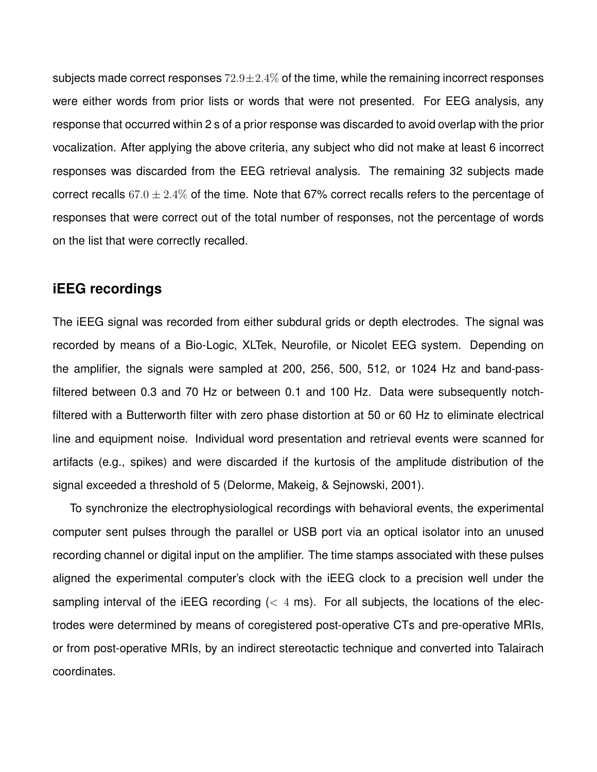subjects made correct responses  $72.9 \pm 2.4\%$  of the time, while the remaining incorrect responses were either words from prior lists or words that were not presented. For EEG analysis, any response that occurred within 2 s of a prior response was discarded to avoid overlap with the prior vocalization. After applying the above criteria, any subject who did not make at least 6 incorrect responses was discarded from the EEG retrieval analysis. The remaining 32 subjects made correct recalls  $67.0 \pm 2.4\%$  of the time. Note that 67% correct recalls refers to the percentage of responses that were correct out of the total number of responses, not the percentage of words on the list that were correctly recalled.

## **iEEG recordings**

The iEEG signal was recorded from either subdural grids or depth electrodes. The signal was recorded by means of a Bio-Logic, XLTek, Neurofile, or Nicolet EEG system. Depending on the amplifier, the signals were sampled at 200, 256, 500, 512, or 1024 Hz and band-passfiltered between 0.3 and 70 Hz or between 0.1 and 100 Hz. Data were subsequently notchfiltered with a Butterworth filter with zero phase distortion at 50 or 60 Hz to eliminate electrical line and equipment noise. Individual word presentation and retrieval events were scanned for artifacts (e.g., spikes) and were discarded if the kurtosis of the amplitude distribution of the signal exceeded a threshold of 5 (Delorme, Makeig, & Sejnowski, 2001).

To synchronize the electrophysiological recordings with behavioral events, the experimental computer sent pulses through the parallel or USB port via an optical isolator into an unused recording channel or digital input on the amplifier. The time stamps associated with these pulses aligned the experimental computer's clock with the iEEG clock to a precision well under the sampling interval of the iEEG recording  $(< 4 \text{ ms})$ . For all subjects, the locations of the electrodes were determined by means of coregistered post-operative CTs and pre-operative MRIs, or from post-operative MRIs, by an indirect stereotactic technique and converted into Talairach coordinates.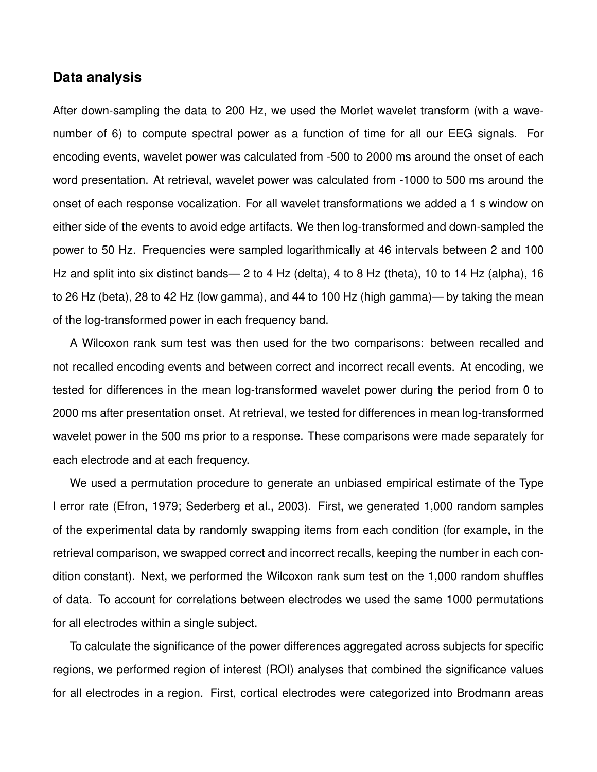### **Data analysis**

After down-sampling the data to 200 Hz, we used the Morlet wavelet transform (with a wavenumber of 6) to compute spectral power as a function of time for all our EEG signals. For encoding events, wavelet power was calculated from -500 to 2000 ms around the onset of each word presentation. At retrieval, wavelet power was calculated from -1000 to 500 ms around the onset of each response vocalization. For all wavelet transformations we added a 1 s window on either side of the events to avoid edge artifacts. We then log-transformed and down-sampled the power to 50 Hz. Frequencies were sampled logarithmically at 46 intervals between 2 and 100 Hz and split into six distinct bands— 2 to 4 Hz (delta), 4 to 8 Hz (theta), 10 to 14 Hz (alpha), 16 to 26 Hz (beta), 28 to 42 Hz (low gamma), and 44 to 100 Hz (high gamma)— by taking the mean of the log-transformed power in each frequency band.

A Wilcoxon rank sum test was then used for the two comparisons: between recalled and not recalled encoding events and between correct and incorrect recall events. At encoding, we tested for differences in the mean log-transformed wavelet power during the period from 0 to 2000 ms after presentation onset. At retrieval, we tested for differences in mean log-transformed wavelet power in the 500 ms prior to a response. These comparisons were made separately for each electrode and at each frequency.

We used a permutation procedure to generate an unbiased empirical estimate of the Type I error rate (Efron, 1979; Sederberg et al., 2003). First, we generated 1,000 random samples of the experimental data by randomly swapping items from each condition (for example, in the retrieval comparison, we swapped correct and incorrect recalls, keeping the number in each condition constant). Next, we performed the Wilcoxon rank sum test on the 1,000 random shuffles of data. To account for correlations between electrodes we used the same 1000 permutations for all electrodes within a single subject.

To calculate the significance of the power differences aggregated across subjects for specific regions, we performed region of interest (ROI) analyses that combined the significance values for all electrodes in a region. First, cortical electrodes were categorized into Brodmann areas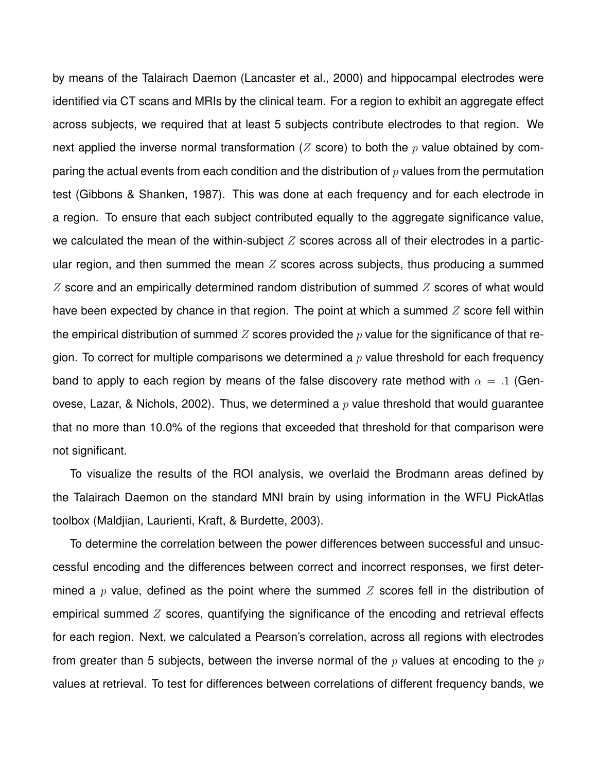by means of the Talairach Daemon (Lancaster et al., 2000) and hippocampal electrodes were identified via CT scans and MRIs by the clinical team. For a region to exhibit an aggregate effect across subjects, we required that at least 5 subjects contribute electrodes to that region. We next applied the inverse normal transformation (Z score) to both the  $p$  value obtained by comparing the actual events from each condition and the distribution of  $p$  values from the permutation test (Gibbons & Shanken, 1987). This was done at each frequency and for each electrode in a region. To ensure that each subject contributed equally to the aggregate significance value, we calculated the mean of the within-subject  $Z$  scores across all of their electrodes in a particular region, and then summed the mean  $Z$  scores across subjects, thus producing a summed  $Z$  score and an empirically determined random distribution of summed  $Z$  scores of what would have been expected by chance in that region. The point at which a summed  $Z$  score fell within the empirical distribution of summed Z scores provided the  $p$  value for the significance of that region. To correct for multiple comparisons we determined a  $p$  value threshold for each frequency band to apply to each region by means of the false discovery rate method with  $\alpha = .1$  (Genovese, Lazar, & Nichols, 2002). Thus, we determined a  $p$  value threshold that would quarantee that no more than 10.0% of the regions that exceeded that threshold for that comparison were not significant.

To visualize the results of the ROI analysis, we overlaid the Brodmann areas defined by the Talairach Daemon on the standard MNI brain by using information in the WFU PickAtlas toolbox (Maldjian, Laurienti, Kraft, & Burdette, 2003).

To determine the correlation between the power differences between successful and unsuccessful encoding and the differences between correct and incorrect responses, we first determined a p value, defined as the point where the summed  $Z$  scores fell in the distribution of empirical summed  $Z$  scores, quantifying the significance of the encoding and retrieval effects for each region. Next, we calculated a Pearson's correlation, across all regions with electrodes from greater than 5 subjects, between the inverse normal of the  $p$  values at encoding to the  $p$ values at retrieval. To test for differences between correlations of different frequency bands, we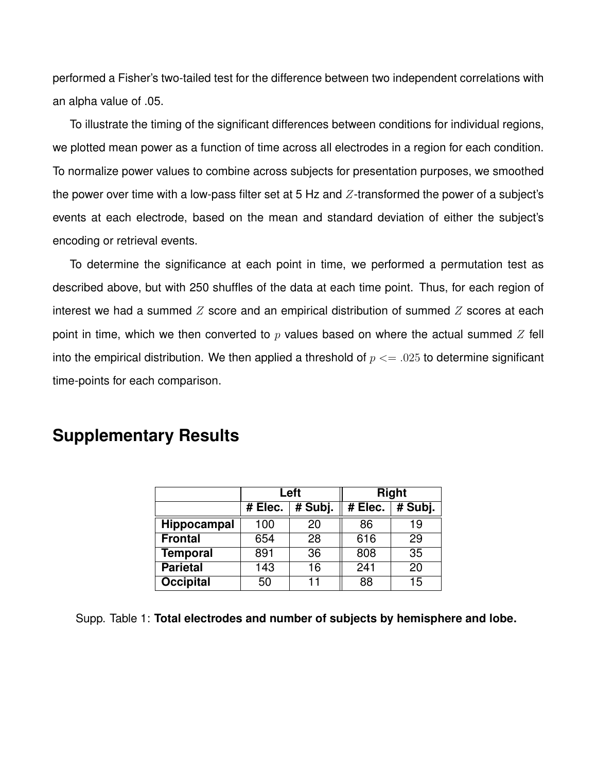performed a Fisher's two-tailed test for the difference between two independent correlations with an alpha value of .05.

To illustrate the timing of the significant differences between conditions for individual regions, we plotted mean power as a function of time across all electrodes in a region for each condition. To normalize power values to combine across subjects for presentation purposes, we smoothed the power over time with a low-pass filter set at 5 Hz and  $Z$ -transformed the power of a subject's events at each electrode, based on the mean and standard deviation of either the subject's encoding or retrieval events.

To determine the significance at each point in time, we performed a permutation test as described above, but with 250 shuffles of the data at each time point. Thus, for each region of interest we had a summed  $Z$  score and an empirical distribution of summed  $Z$  scores at each point in time, which we then converted to  $p$  values based on where the actual summed  $Z$  fell into the empirical distribution. We then applied a threshold of  $p \le 0.025$  to determine significant time-points for each comparison.

# **Left Right # Elec. # Subj. # Elec. # Subj. Hippocampal** 100 20 86 19 **Frontal** 654 28 616 29

|  | <b>Supplementary Results</b> |  |
|--|------------------------------|--|
|--|------------------------------|--|

| <b>Parietal</b>  | 43 | ◡ |          |         |
|------------------|----|---|----------|---------|
| <b>Occipital</b> | 50 |   | oο<br>ပပ | די<br>w |

**Temporal** 891 36 808 35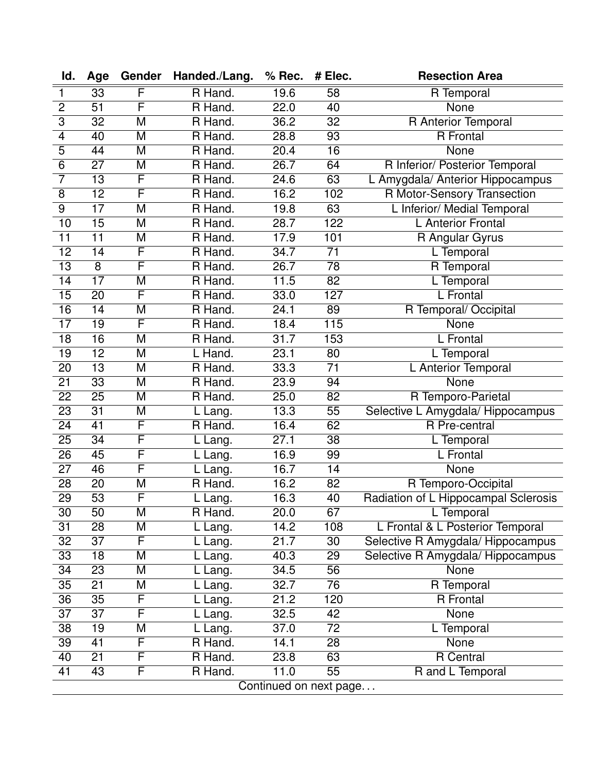| Id.                     | Age                    | Gender                  | Handed./Lang.                 | % Rec. | # Elec.          | <b>Resection Area</b>                |
|-------------------------|------------------------|-------------------------|-------------------------------|--------|------------------|--------------------------------------|
| $\mathbf{1}$            | 33                     | F                       | R Hand.                       | 19.6   | 58               | R Temporal                           |
| $\overline{2}$          | $\overline{51}$        | F                       | R Hand.                       | 22.0   | $\overline{40}$  | <b>None</b>                          |
| $\overline{3}$          | 32                     | M                       | R Hand.                       | 36.2   | $\overline{32}$  | R Anterior Temporal                  |
| $\overline{\mathbf{4}}$ | 40                     | M                       | R Hand.                       | 28.8   | $\overline{93}$  | <b>R</b> Frontal                     |
| $\overline{5}$          | 44                     | M                       | R Hand.                       | 20.4   | $\overline{16}$  | None                                 |
| $\overline{6}$          | $\overline{27}$        | M                       | R Hand.                       | 26.7   | 64               | R Inferior/ Posterior Temporal       |
| $\overline{7}$          | $\overline{13}$        | F                       | R Hand.                       | 24.6   | $\overline{63}$  | L Amygdala/ Anterior Hippocampus     |
| 8                       | $\overline{12}$        | F                       | R Hand.                       | 16.2   | 102              | R Motor-Sensory Transection          |
| $\overline{9}$          | $\overline{17}$        | $\overline{\mathsf{M}}$ | R Hand.                       | 19.8   | 63               | L Inferior/ Medial Temporal          |
| $\overline{10}$         | $\overline{15}$        | M                       | R Hand.                       | 28.7   | $\overline{122}$ | <b>L</b> Anterior Frontal            |
| $\overline{11}$         | $\overline{11}$        | $\overline{\mathsf{M}}$ | R Hand.                       | 17.9   | 101              | R Angular Gyrus                      |
| $\overline{12}$         | $\overline{14}$        | F                       | R Hand.                       | 34.7   | $\overline{71}$  | L Temporal                           |
| $\overline{13}$         | $\overline{8}$         | F                       | R Hand.                       | 26.7   | $\overline{78}$  | R Temporal                           |
| $\overline{14}$         | $\overline{17}$        | M                       | R Hand.                       | 11.5   | $\overline{82}$  | L Temporal                           |
| $\overline{15}$         | $\overline{20}$        | F                       | R Hand.                       | 33.0   | 127              | L Frontal                            |
| 16                      | $\overline{14}$        | M                       | R Hand.                       | 24.1   | 89               | R Temporal/ Occipital                |
| $\overline{17}$         | $\overline{19}$        | F                       | R Hand.                       | 18.4   | $\overline{115}$ | <b>None</b>                          |
| 18                      | 16                     | M                       | R Hand.                       | 31.7   | 153              | L Frontal                            |
| $\overline{19}$         | $\overline{12}$        | $\overline{\mathsf{M}}$ | L Hand.                       | 23.1   | $\overline{80}$  | L Temporal                           |
| 20                      | $\overline{13}$        | M                       | R Hand.                       | 33.3   | $\overline{71}$  | L Anterior Temporal                  |
| $\overline{21}$         | $\overline{33}$        | M                       | R Hand.                       | 23.9   | $\overline{94}$  | None                                 |
| $\overline{22}$         | $\overline{25}$        | M                       | R Hand.                       | 25.0   | 82               | R Temporo-Parietal                   |
| $\overline{23}$         | $\overline{31}$        | $\overline{\mathsf{M}}$ | L Lang.                       | 13.3   | $\overline{55}$  | Selective L Amygdala/ Hippocampus    |
| $\overline{24}$         | $\overline{41}$        | F                       | R Hand.                       | 16.4   | 62               | <b>R</b> Pre-central                 |
| 25                      | 34                     | F                       | $\overline{\mathsf{L}}$ Lang. | 27.1   | 38               | L Temporal                           |
| $\overline{26}$         | $\overline{45}$        | F                       | L Lang.                       | 16.9   | 99               | L Frontal                            |
| 27                      | 46                     | F                       | L Lang.                       | 16.7   | 14               | <b>None</b>                          |
| 28                      | $\overline{20}$        | $\overline{\mathsf{M}}$ | R Hand.                       | 16.2   | $\overline{82}$  | R Temporo-Occipital                  |
| $\overline{29}$         | $\overline{53}$        | F                       | L Lang.                       | 16.3   | 40               | Radiation of L Hippocampal Sclerosis |
| 30                      | 50                     | M                       | R Hand.                       | 20.0   | 67               | L Temporal                           |
| $\overline{31}$         | $\overline{28}$        | M                       | L Lang.                       | 14.2   | 108              | L Frontal & L Posterior Temporal     |
| 32                      | $\overline{37}$        | F                       | L Lang.                       | 21.7   | $\overline{30}$  | Selective R Amygdala/ Hippocampus    |
| 33                      | 18                     | M                       | Lang.                         | 40.3   | 29               | Selective R Amygdala/ Hippocampus    |
| $\overline{34}$         | $\overline{23}$        | $\overline{\mathsf{M}}$ | L Lang.                       | 34.5   | $\overline{56}$  | <b>None</b>                          |
| 35                      | 21                     | Μ                       | L Lang.                       | 32.7   | 76               | R Temporal                           |
| $\overline{36}$         | $\overline{35}$        | F                       | Lang.                         | 21.2   | 120              | <b>R</b> Frontal                     |
| 37                      | 37                     | F                       | Lang.                         | 32.5   | 42               | <b>None</b>                          |
| 38                      | $\overline{19}$        | M                       | L Lang.                       | 37.0   | $\overline{72}$  | L Temporal                           |
| 39                      | 41                     | F                       | R Hand.                       | 14.1   | 28               | <b>None</b>                          |
| 40                      | $\overline{21}$        | F                       | R Hand.                       | 23.8   | 63               | R Central                            |
| $\overline{41}$         | 43                     | F                       | R Hand.                       | 11.0   | $\overline{55}$  | R and L Temporal                     |
|                         | Continued on next page |                         |                               |        |                  |                                      |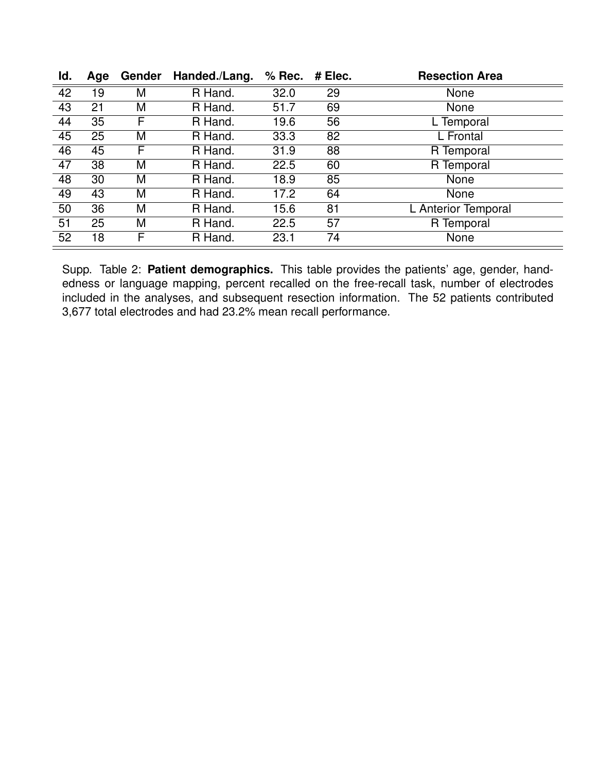| ld. | Age | Gender | Handed./Lang. | $%$ Rec. | $#$ Elec. | <b>Resection Area</b> |
|-----|-----|--------|---------------|----------|-----------|-----------------------|
| 42  | 19  | M      | R Hand.       | 32.0     | 29        | None                  |
| 43  | 21  | M      | R Hand.       | 51.7     | 69        | None                  |
| 44  | 35  | F      | R Hand.       | 19.6     | 56        | L Temporal            |
| 45  | 25  | M      | R Hand.       | 33.3     | 82        | L Frontal             |
| 46  | 45  | F      | R Hand.       | 31.9     | 88        | R Temporal            |
| 47  | 38  | M      | R Hand.       | 22.5     | 60        | R Temporal            |
| 48  | 30  | M      | R Hand.       | 18.9     | 85        | None                  |
| 49  | 43  | M      | R Hand.       | 17.2     | 64        | None                  |
| 50  | 36  | M      | R Hand.       | 15.6     | 81        | L Anterior Temporal   |
| 51  | 25  | M      | R Hand.       | 22.5     | 57        | R Temporal            |
| 52  | 18  | F      | R Hand.       | 23.1     | 74        | None                  |

Supp. Table 2: **Patient demographics.** This table provides the patients' age, gender, handedness or language mapping, percent recalled on the free-recall task, number of electrodes included in the analyses, and subsequent resection information. The 52 patients contributed 3,677 total electrodes and had 23.2% mean recall performance.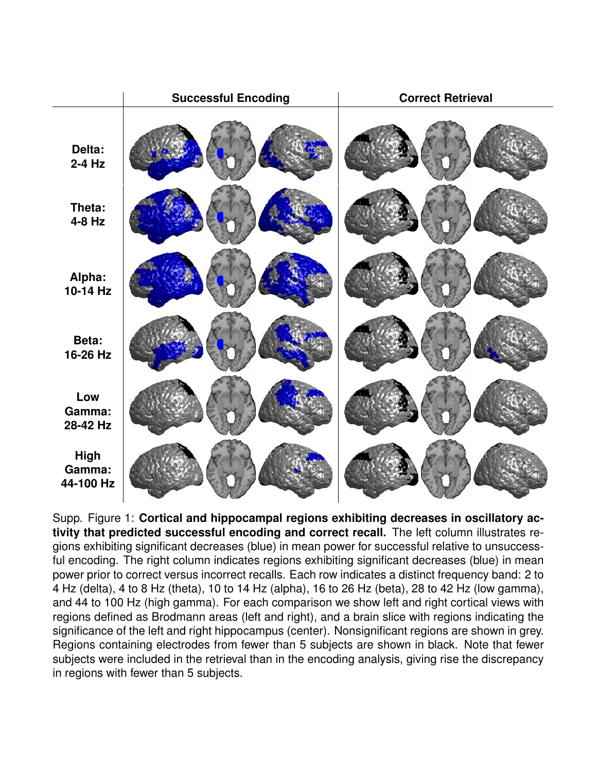|                                    | <b>Successful Encoding</b> | <b>Correct Retrieval</b> |
|------------------------------------|----------------------------|--------------------------|
| Delta:<br>$2-4$ Hz                 |                            |                          |
| Theta:<br>4-8 Hz                   |                            |                          |
| Alpha:<br>10-14 Hz                 |                            |                          |
| Beta:<br>16-26 Hz                  |                            |                          |
| Low<br>Gamma:<br>28-42 Hz          |                            |                          |
| <b>High</b><br>Gamma:<br>44-100 Hz |                            |                          |

Supp. Figure 1: **Cortical and hippocampal regions exhibiting decreases in oscillatory activity that predicted successful encoding and correct recall.** The left column illustrates regions exhibiting significant decreases (blue) in mean power for successful relative to unsuccessful encoding. The right column indicates regions exhibiting significant decreases (blue) in mean power prior to correct versus incorrect recalls. Each row indicates a distinct frequency band: 2 to 4 Hz (delta), 4 to 8 Hz (theta), 10 to 14 Hz (alpha), 16 to 26 Hz (beta), 28 to 42 Hz (low gamma), and 44 to 100 Hz (high gamma). For each comparison we show left and right cortical views with regions defined as Brodmann areas (left and right), and a brain slice with regions indicating the significance of the left and right hippocampus (center). Nonsignificant regions are shown in grey. Regions containing electrodes from fewer than 5 subjects are shown in black. Note that fewer subjects were included in the retrieval than in the encoding analysis, giving rise the discrepancy in regions with fewer than 5 subjects.